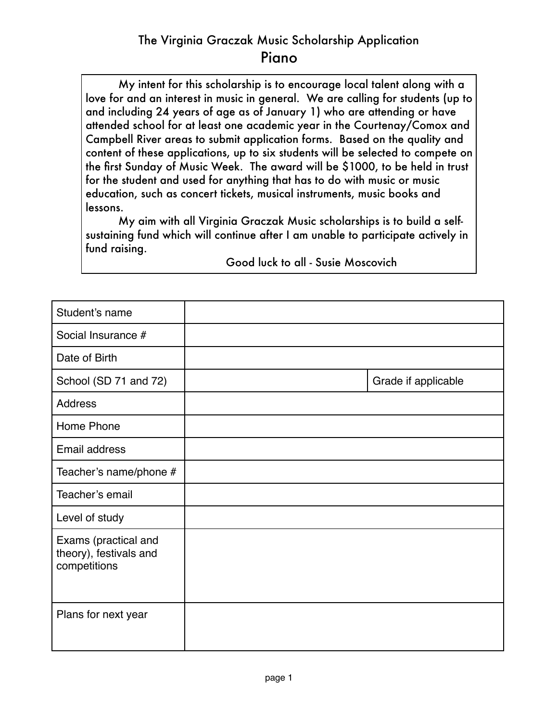## The Virginia Graczak Music Scholarship Application Piano

My intent for this scholarship is to encourage local talent along with a love for and an interest in music in general. We are calling for students (up to and including 24 years of age as of January 1) who are attending or have attended school for at least one academic year in the Courtenay/Comox and Campbell River areas to submit application forms. Based on the quality and content of these applications, up to six students will be selected to compete on the first Sunday of Music Week. The award will be \$1000, to be held in trust for the student and used for anything that has to do with music or music education, such as concert tickets, musical instruments, music books and lessons.

My aim with all Virginia Graczak Music scholarships is to build a selfsustaining fund which will continue after I am unable to participate actively in fund raising.

| Student's name                                                 |                     |
|----------------------------------------------------------------|---------------------|
| Social Insurance #                                             |                     |
| Date of Birth                                                  |                     |
| School (SD 71 and 72)                                          | Grade if applicable |
| Address                                                        |                     |
| Home Phone                                                     |                     |
| Email address                                                  |                     |
| Teacher's name/phone #                                         |                     |
| Teacher's email                                                |                     |
| Level of study                                                 |                     |
| Exams (practical and<br>theory), festivals and<br>competitions |                     |
| Plans for next year                                            |                     |

 Good luck to all - Susie Moscovich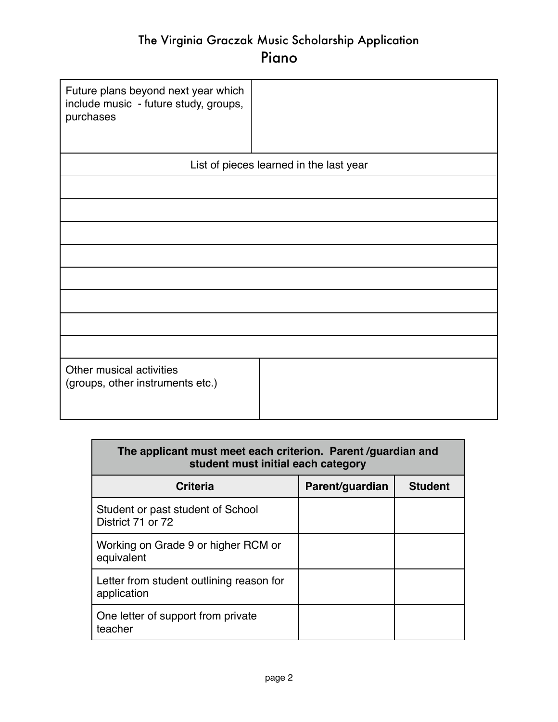## The Virginia Graczak Music Scholarship Application Piano

| Future plans beyond next year which<br>include music - future study, groups,<br>purchases |  |  |  |  |
|-------------------------------------------------------------------------------------------|--|--|--|--|
| List of pieces learned in the last year                                                   |  |  |  |  |
|                                                                                           |  |  |  |  |
|                                                                                           |  |  |  |  |
|                                                                                           |  |  |  |  |
|                                                                                           |  |  |  |  |
|                                                                                           |  |  |  |  |
|                                                                                           |  |  |  |  |
|                                                                                           |  |  |  |  |
|                                                                                           |  |  |  |  |
| Other musical activities<br>(groups, other instruments etc.)                              |  |  |  |  |

| The applicant must meet each criterion. Parent /guardian and<br>student must initial each category |                 |                |  |  |
|----------------------------------------------------------------------------------------------------|-----------------|----------------|--|--|
| <b>Criteria</b>                                                                                    | Parent/guardian | <b>Student</b> |  |  |
| Student or past student of School<br>District 71 or 72                                             |                 |                |  |  |
| Working on Grade 9 or higher RCM or<br>equivalent                                                  |                 |                |  |  |
| Letter from student outlining reason for<br>application                                            |                 |                |  |  |
| One letter of support from private<br>teacher                                                      |                 |                |  |  |